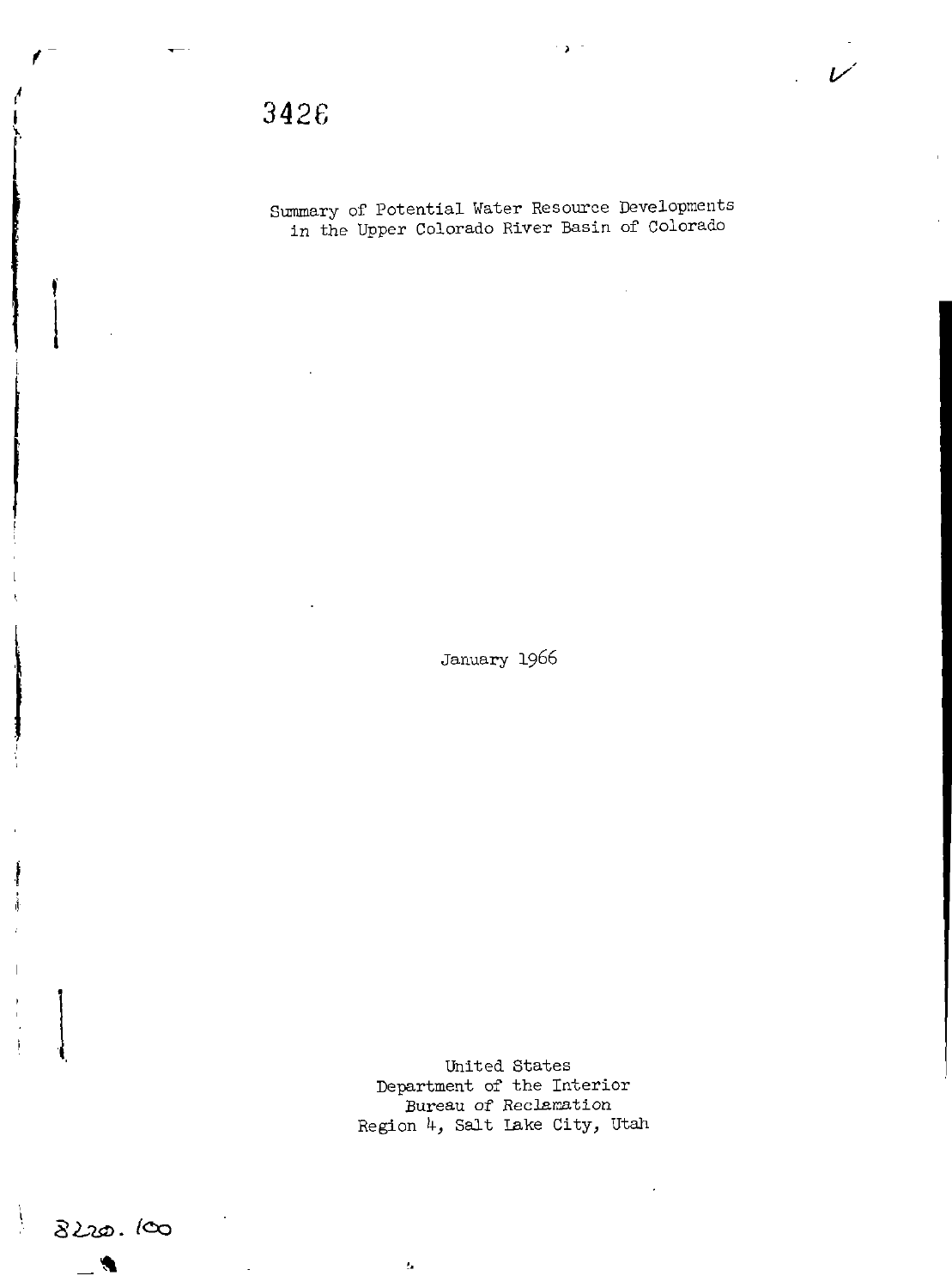f

t

I

14 I

I

ţ

Summary of Potential Water Resource Developments in the Upper Colorado River Basin of Colorado

 $\sim$   $\mu$   $^{-1}$ 

v'

January 1966

United States Department of the Interior Bureau of Reclamation Region 4, Salt lake City, Utah

 $t_{\rm B}$ 

8220. loo

I.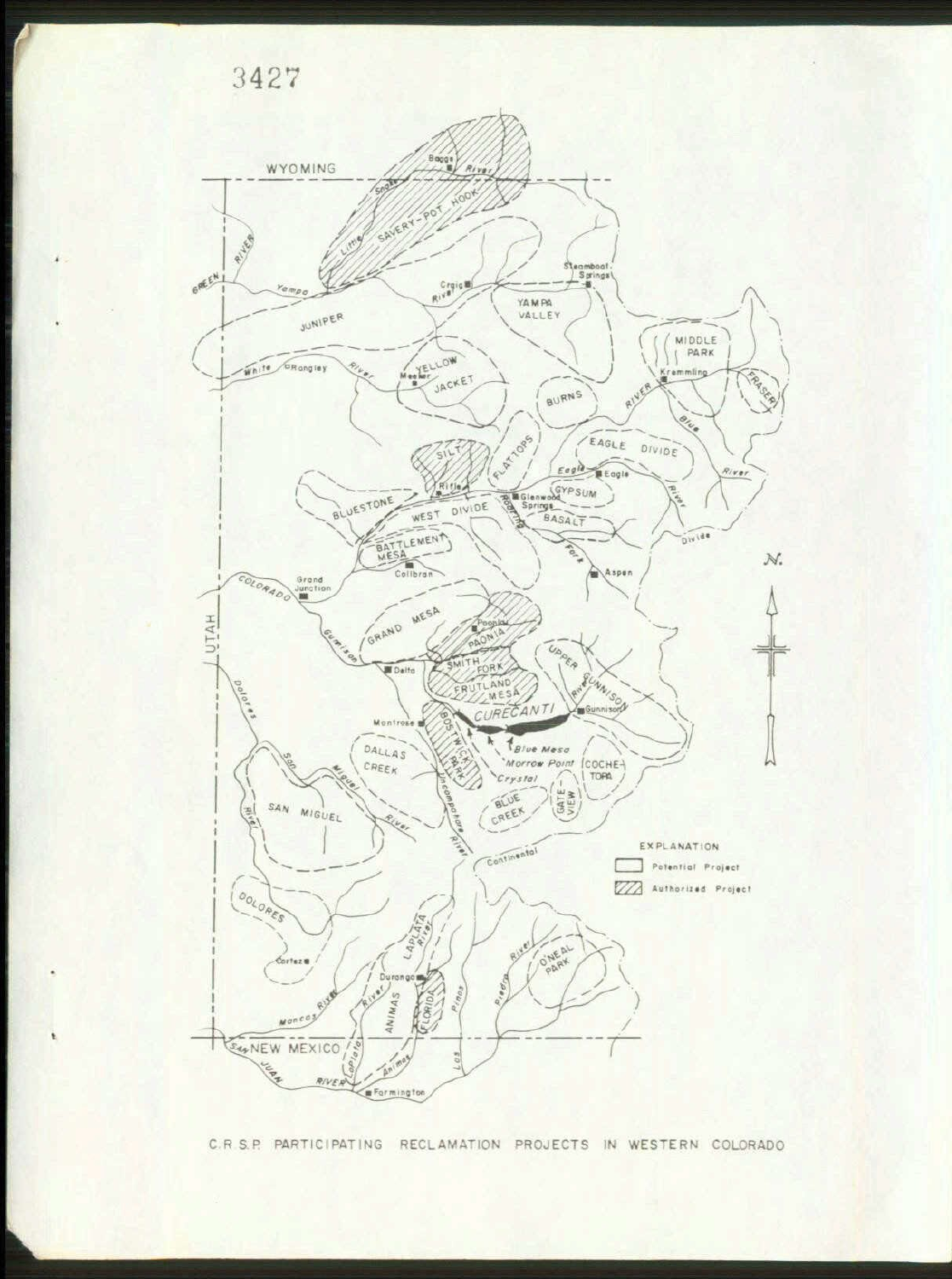



C.R S.P. PARTICIPATING RECLAMATION PROJECTS IN WESTERN COLORADO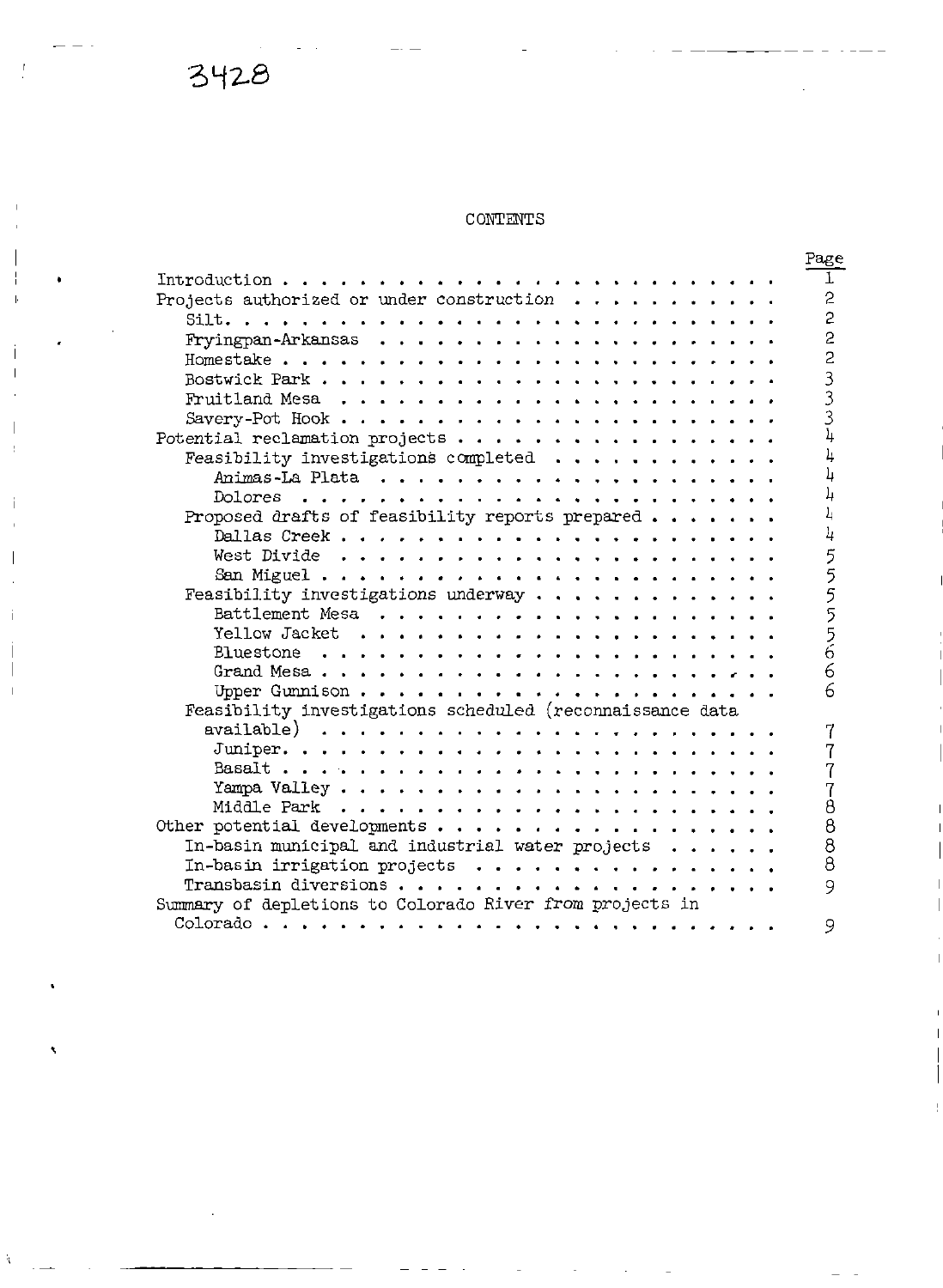### CONTENTS

|                                                                      | Page           |
|----------------------------------------------------------------------|----------------|
| Introduction                                                         | T              |
| Projects authorized or under construction $\cdots$ ,                 | $\overline{c}$ |
|                                                                      | $\overline{c}$ |
|                                                                      | $\overline{2}$ |
|                                                                      | $\overline{c}$ |
|                                                                      | 3              |
|                                                                      | $\overline{3}$ |
|                                                                      | $\overline{3}$ |
|                                                                      | $\frac{1}{2}$  |
| Feasibility investigations completed $\cdots$ ,                      | 4              |
|                                                                      | 4              |
| Dolores                                                              | 4              |
| $\sim$ $\sim$ $\sim$ $\sim$ $\sim$                                   | Ŀ              |
| Proposed drafts of feasibility reports prepared                      |                |
|                                                                      | 4              |
|                                                                      | 5              |
|                                                                      |                |
| Feasibility investigations underway                                  | 55556          |
|                                                                      |                |
|                                                                      |                |
|                                                                      |                |
|                                                                      | 6              |
| Upper Gunnison                                                       | 6              |
| Feasibility investigations scheduled (reconnaissance data            |                |
| available) $\ldots \ldots \ldots \ldots \ldots \ldots \ldots \ldots$ |                |
|                                                                      | 7              |
|                                                                      |                |
|                                                                      | 7              |
|                                                                      | Ò              |
| Other potential developments                                         | 8              |
| In-basin municipal and industrial water projects                     | 8              |
| In-basin irrigation projects                                         | 8              |
|                                                                      | 9              |
| Summary of depletions to Colorado River from projects in             |                |
| Colorado<br>.                                                        | 9              |
|                                                                      |                |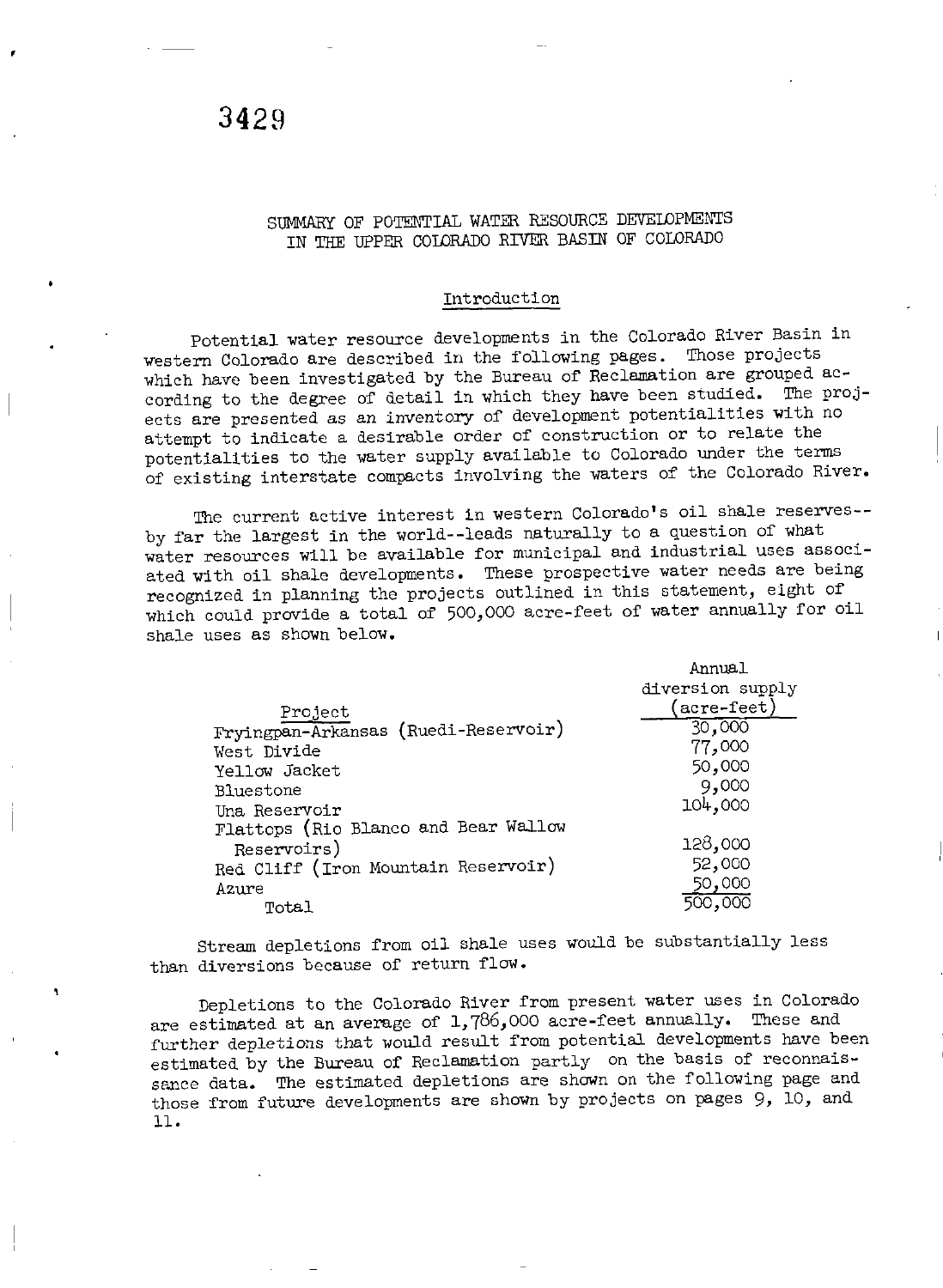#### SUMMARY OF POTENTIAL WATER RESOURCE DEVELDPMENTS IN THE UPPER COLDRADO RIVER BASIN OF COLORADO

#### Introduction

Potential water resource developments in the Colorado River Basin in western Colorado are described in the following pages. Those projects which have been investigated by the Bureau of Reclamation are grouped according to the degree of detail in which they have been studied. The projects are presented as an inventory of development potentialities with no attempt to indicate <sup>a</sup> desirable order of construction or to relate the potentialities to the water supply available to Colorado under the terms of existing interstate compacts involving the waters of the Colorado River.

The current active interest in western Colorado's oil shale reserves-by far the largest in the world-- leads naturally to <sup>a</sup> question of what water resources will be available for municipal and industrial uses associated with oil shale developments. These prospective water needs are being recognized in planning the projects outlined in this statement, eight of which could provide a total of 500,000 acre-feet of water annually for oil shale uses as shown below.

|                                      | Annual                          |
|--------------------------------------|---------------------------------|
|                                      | diversion supply                |
| Project                              | $\left(\text{acre-feet}\right)$ |
| Fryingpan-Arkansas (Ruedi-Reservoir) | 30,000                          |
| West Divide                          | 77,000                          |
| Yellow Jacket                        | 50,000                          |
| Bluestone                            | 9,000                           |
| Una Reservoir                        | 104,000                         |
| Flattops (Rio Blanco and Bear Wallow |                                 |
| Reservoirs)                          | 128,000                         |
| Red Cliff (Iron Mountain Reservoir)  | 52,000                          |
| Azure                                | 50,000                          |
| Total                                | 500,000                         |

Stream depletions from oil shale uses would be substantially less than diversions because of return flow.

Depletions to the Colorado River from present water uses in Colorado are estimated at an average of 1, 786, <sup>000</sup> acre- feet annually. These and further depletions that would result from potential developments have been estimated by the Bureau of Reclamation partly on the basis of reconnaissance data. The estimated depletions are shown on the following page and those from future developments are shown by projects on pages 9, 10, and 11.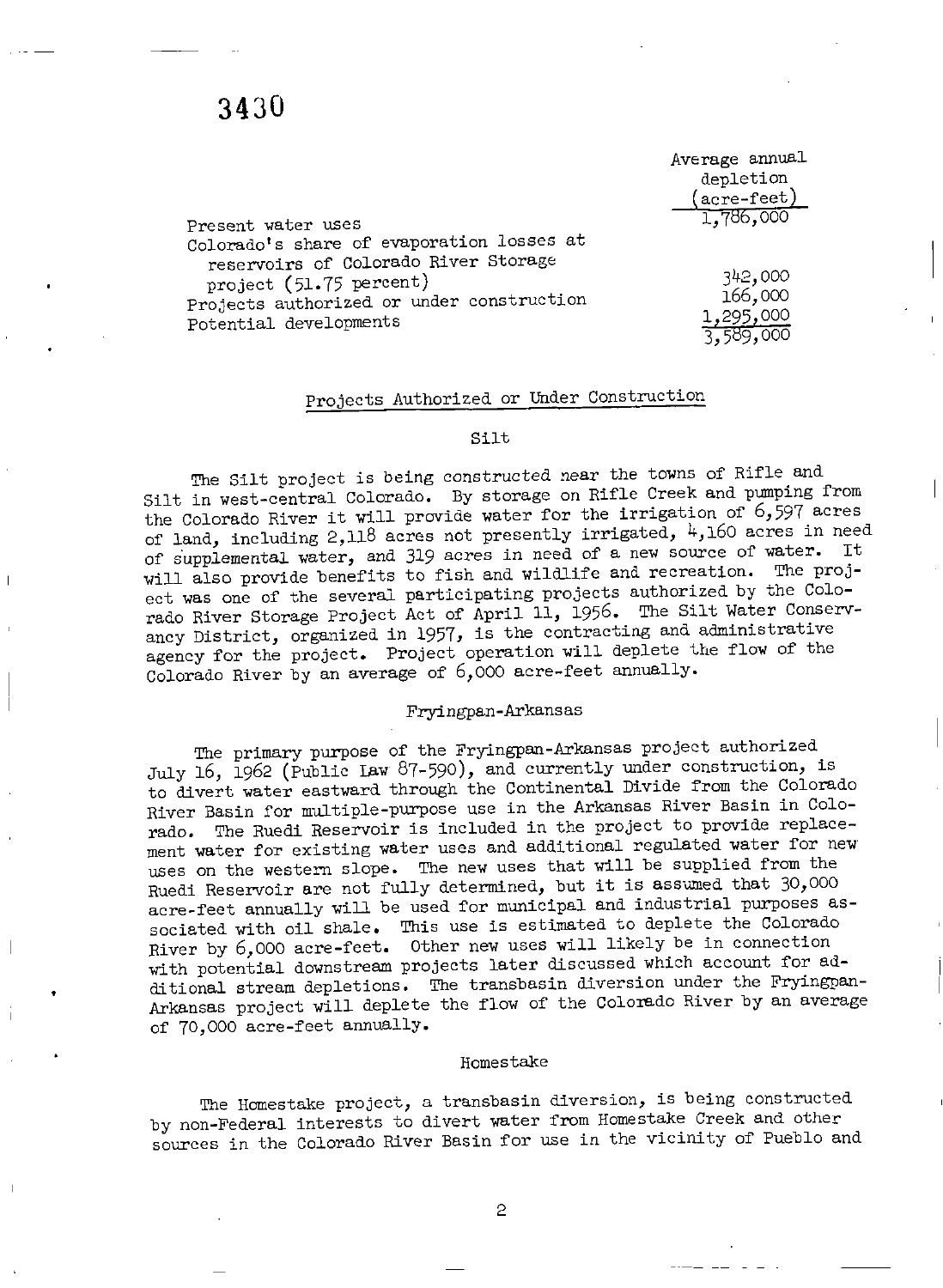|                                           | Average annual       |
|-------------------------------------------|----------------------|
|                                           | depletion            |
|                                           | $(\text{acre-feet})$ |
| Present water uses                        | 1,786,000            |
| Colorado's share of evaporation losses at |                      |
| reservoirs of Colorado River Storage      |                      |
| project (51.75 percent)                   | 342,000              |
| Projects authorized or under construction | 166,000              |
| Potential developments                    | 1,295,000            |
|                                           |                      |

#### Projects Authorized or Under Construction

#### Silt

The Silt project is being constructed near the towns of Rifle and Silt in west- central Colorado. By storage on Rifle Creek and pumping from the Colorado River it will provide water for the irrigation of 6, <sup>597</sup> acres of land, including 2,118 acres not presently irrigated,  $4,160$  acres in need of supplemental water, and 319 acres in need of a new source of water. will also provide benefits to fish and wildlife and recreation. The project was one of the several participating projects authorized by the Colorado River Storage Project Act of April 11, 1956. The Silt Water Conservancy District, organized in 1957, is the contracting and administrative agency for the project. Project operation will deplete the flow of the Colorado River by an average of 6, <sup>000</sup> acre- feet annually.

#### Fryingpan- Arkansas

The primary purpose of the Fryingpan- Arkansas project authorized July 16, 1962 (Public Law 87-590), and currently under construction, is to divert water eastward through the Continental Divide from the Colorado River Basin for multiple-purpose use in the Arkansas River Basin in Colorado. The Ruedi Reservoir is included in the project to provide replacement water for existing water uses and additional regulated water for new' uses on the western slope. The new uses that will be supplied from the Ruedi Reservoir are not fully determined, but it is assumed that 30, <sup>000</sup> acre- feet annually will be used for municipal and industrial purposes associated with oil shale. This use is estimated to deplete the Colorado sociated with oil share. This all is coordinated by the in connection<br>River by 6,000 acre-feet. Other new uses will likely be in connection with potential downstream projects later discussed which account for additional stream depletions. The transbasin diversion under the Fryingpan-Arkansas project will deplete the flow of the Colorado River by an average of 70, <sup>000</sup> acre- feet annually.

#### Homestake

The Homestake project, <sup>a</sup> transbasin diversion, is being constructed by non-Federal interests to divert water from Homestake Creek and other sources in the Colorado River Basin for use in the vicinity of Pueblo and

2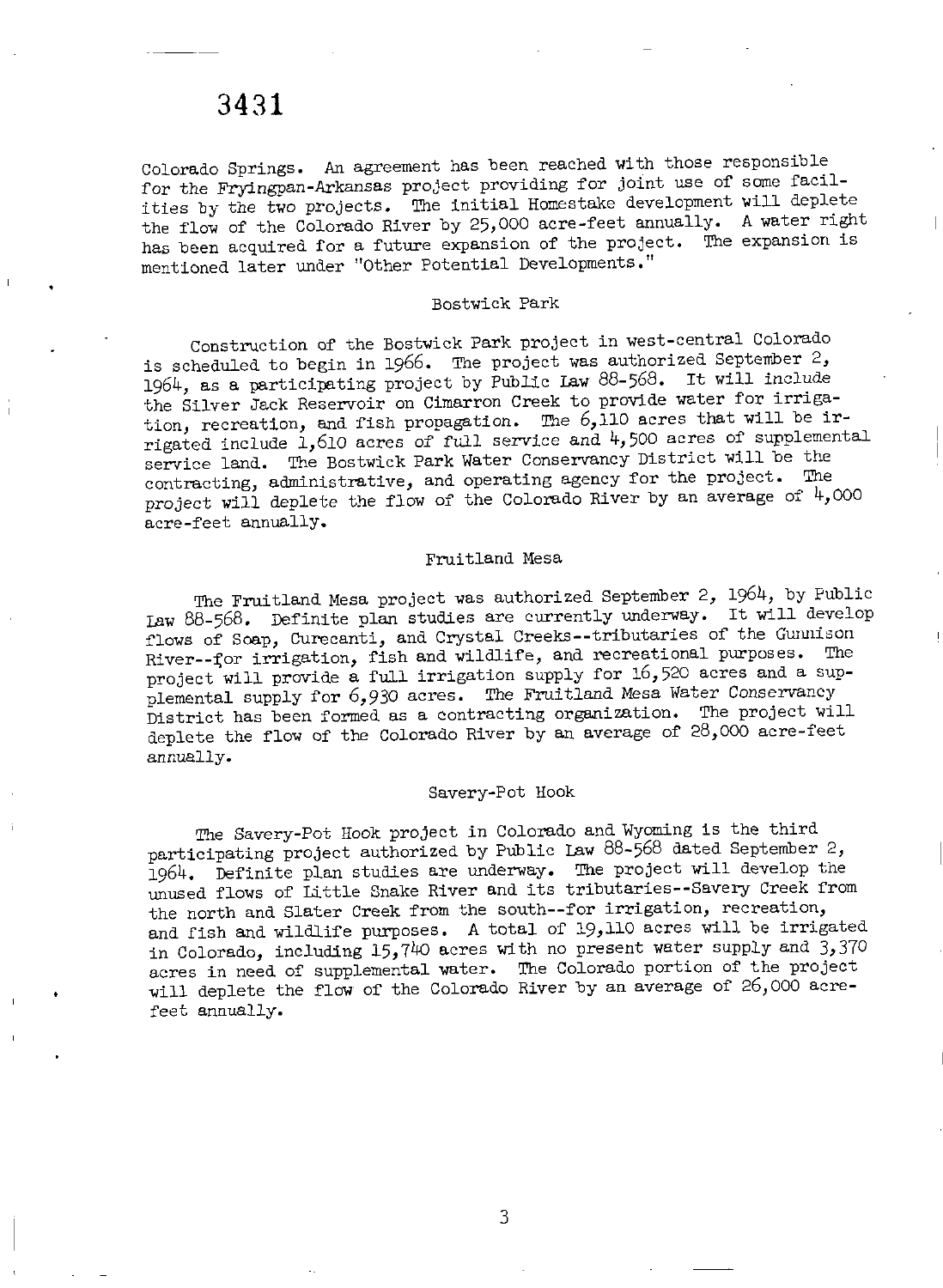Colorado Springs. An agreement has been reached with those responsible for the Fryingpan- Arkansas project providing for joint use of some facilities by the two projects. The initial Homestake development will deplete the flow of the Colorado River by 25, <sup>000</sup> acre- feet annually. <sup>A</sup> water right has been acquired for <sup>a</sup> future expansion of the project. The expansion is mentioned later under "Other Potential Developments."

#### Bostwick Park

Construction of the Bostwick Park project in west- central Colorado is scheduled to begin in 1966. The project was authorized September 2, 1964, as <sup>a</sup> participating project by Public Law 88- 568. It will include the Silver Jack Reservoir on Cimarron Creek to provide water for irrigation, recreation, and fish propagation. The  $6,110$  acres that will be irrigated include 1, <sup>610</sup> acres of full service and 4, <sup>500</sup> acres of supplemental service land. The Bostwick Park Water Conservancy District will be the contracting, administrative, and operating agency for the project. The project will deplete the flow of the Colorado River by an average of  $4,000$ acre- feet annually.

#### Fruitland Mesa

The Fruitland Mesa project was authorized September 2, 1964, by Public Law 88- 568. Definite plan studies are currently underway. It will develop flows of Soap, Curecanti, and Crystal Creeks--tributaries of the Gunnison River--for irrigation, fish and wildlife, and recreational purposes. The project will provide a full irrigation supply for 16,520 acres and a sup-<br>project will provide a full irrigation supply for 16,520 acres and a supplemental supply for 6,930 acres. The Fruitland Mesa Water Conservancy District has been formed as <sup>a</sup> contracting organization. The project will deplete the flow of the Colorado River by an average of 28,000 acre-feet annually.

#### Savery-Pot Hook

The Savery-Pot Hook project in Colorado and Wyoming is the third participating project authorized by Public Law 88-568 dated September 2, 1964. Definite plan studies are underway. The project will develop the unused flows of Little Snake River and its tributaries-- Savery Creek from the north and Slater Creek from the south--for irrigation, recreation, and fish and wildlife purposes. <sup>A</sup> total of 19, <sup>110</sup> acres will be irrigated in Colorado, including  $15,740$  acres with no present water supply and  $3,370$ acres in need of supplemental water. The Colorado portion of the project will deplete the flow of the Colorado River by an average of 26, <sup>000</sup> acrefeet annually.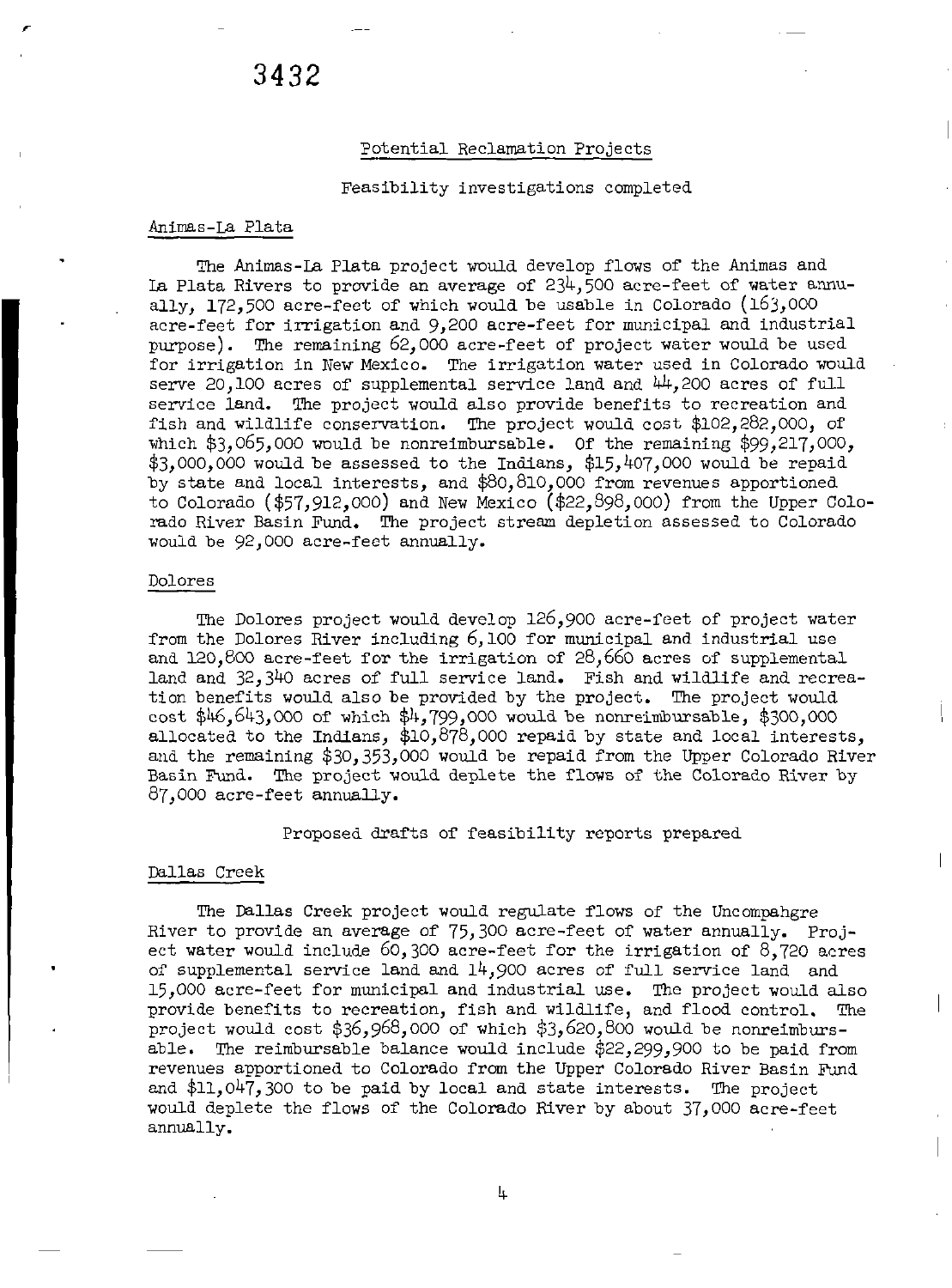#### Potential Reclamation Projects

#### Feasibility investigations completed

#### Animas- La Plata

The Animas- La Plata project would develop flows of the Animas and La Plata Rivers to provide an average of 234, <sup>500</sup> acre- feet of water annually, 172, <sup>500</sup> acre- feet of which would be usable in Colorado ( 163, <sup>000</sup> acre- feet for irrigation and 9, <sup>200</sup> acre- feet for municipal and industrial purpose). The remaining 62, <sup>000</sup> acre- feet of project water would be used for irrigation in New Mexico. The irrigation water used in Colorado would serve 20,100 acres of supplemental service land and  $44,200$  acres of full service land. The project would also provide benefits to recreation and fish and wildlife conservation. The project would cost  $$102,282,000$ , of which  $$3,065,000$  would be nonreimbursable. Of the remaining  $$99,217,000$ ,  $$3,000,000$  would be assessed to the Indians,  $$15,407,000$  would be repaid by state and local interests, and \$80,810,000 from revenues apportioned to Colorado (\$57,912,000) and New Mexico (\$22,898,000) from the Upper Colorado River Basin Fund. The project stream depletion assessed to Colorado would be 92, <sup>000</sup> acre- feet annually.

#### Dolores

The Dolores project would develop 126, <sup>900</sup> acre- feet of project water from the Dolores River including 6, <sup>100</sup> for municipal and industrial use and  $120,800$  acre-feet for the irrigation of  $28,660$  acres of supplemental land and 32, <sup>340</sup> acres of full service land. Fish and wildlife and recreation benefits would also be provided by the project. The project would cost  $$46,643,000$  of which  $$4,799,000$  would be nonreimbursable,  $$300,000$ allocated to the Indians,  $$10,878,000$  repaid by state and local interests, and the remaining \$30,353,000 would be repaid from the Upper Colorado River Basin Fund. The project would deplete the flaws of the Colorado River by 87, <sup>000</sup> acre- feet annually.

Proposed drafts of feasibility reports prepared

#### Dallas Creek

The Dallas Creek project would regulate flows of the Uncompahgre River to provide an average of 75, <sup>300</sup> acre- feet of water annually. Project water would include  $60,300$  acre-feet for the irrigation of  $8,720$  acres of supplemental service land and  $14,900$  acres of full service land and 15, <sup>000</sup> acre- feet for municipal and industrial use. The project would also provide benefits to recreation, fish and wildlife, and flood control. project would cost  $$36,968,000$  of which  $$3,620,800$  would be nonreimbursable. The reimbursable balance would include  $$22,299,900$  to be paid from revenues apportioned to Colorado from the Upper Colorado River Basin Fund and  $$11,047,300$  to be paid by local and state interests. The project would deplete the flows of the Colorado River by about 37,000 acre-feet annually.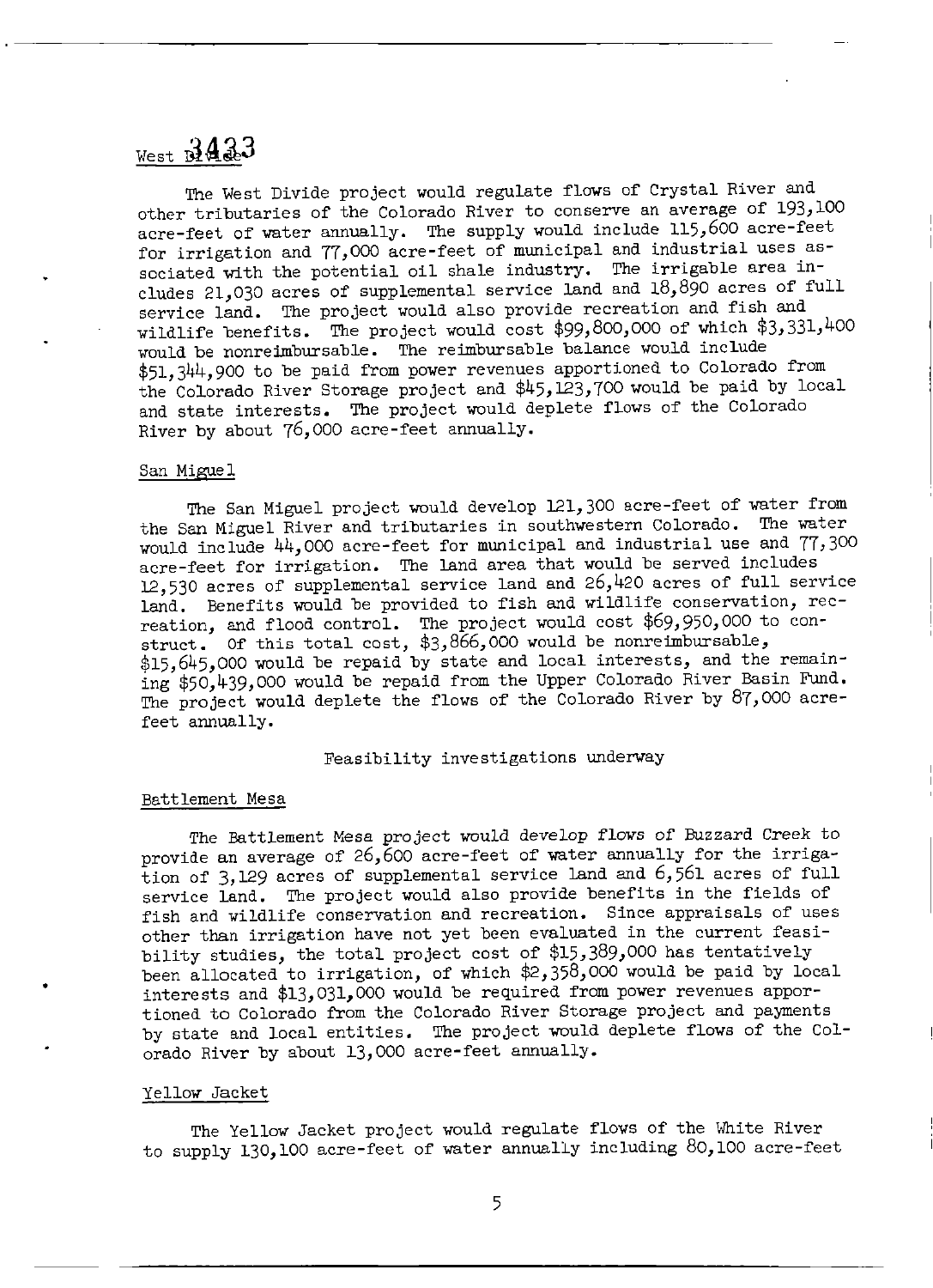## $v$ est  $3433$

The West Divide project would regulate flows of Crystal River and other tributaries of the Colorado River to conserve an average of 193, <sup>100</sup> acre-feet of water annually. The supply would include 115,600 acre-feet for irrigation and 77, <sup>000</sup> acre- feet of municipal and industrial uses associated vith the potential oil shale industry. The irrigable area includes 21,030 acres of supplemental service land and  $18,890$  acres of full service land. The project would also provide recreation and fish and wildlife benefits. The project would cost \$99,800,000 of which \$3,331,400 would be nonreimbursable. The reimbursable balance would include 51, 344, <sup>900</sup> to be paid from power revenues apportioned to Colorado from the Colorado River Storage project and \$45,123,700 would be paid by local and state interests. The project would deplete flows of the Colorado River by about 76, <sup>000</sup> acre- feet annually.

#### San Migue 1

The San Miguel project would develop 121, <sup>300</sup> acre- feet of vater from the San Miguel River and tributaries in southwestern Colorado. The vater would include 44, <sup>000</sup> acre- feet for municipal and industrial use and 77, <sup>300</sup> acre- feet for irrigation. The land area that would be served includes 12, <sup>530</sup> acres of supplemental service land and 26, <sup>420</sup> acres of full service land. Benefits would be provided to fish and wildlife conservation, recreation, and flood control. The project would cost \$69,950,000 to construct. Of this total cost, \$3,866,000 would be nonreimbursable, \$15, 645, 000 would be repaid by state and local interests, and the remaining \$50,439,000 would be repaid from the Upper Colorado River Basin Fund. The project would deplete the flows of the Colorado River by 87, <sup>000</sup> acrefeet annually.

#### Feasibility investigations underway

#### Battlement Mesa

The Battlement Mesa project would develop flows of Buzzard Creek to provide an average of 26,600 acre-feet of water annually for the irrigation of 3, <sup>129</sup> acres of supplemental service land and 6, <sup>561</sup> acres of full service land. The project would also provide benefits in the fields of fish and wildlife conservation and recreation. Since appraisals of uses other than irrigation have not yet been evaluated in the current feasibility studies, the total project cost of \$15, 389, <sup>000</sup> has tentatively been allocated to irrigation, of which  $2,358,000$  would be paid by local interests and \$13,031,000 would be required from power revenues apportioned to Colorado from the Colorado River Storage project and payments by state and local entities. The project would deplete flows of the Colorado River by about 13, <sup>000</sup> acre- feet annually.

#### Yellow Jacket

The Yellow Jacket project would regulate flows of the White River to supply 130, <sup>100</sup> acre- feet of vater annually including 80, <sup>100</sup> acre- feet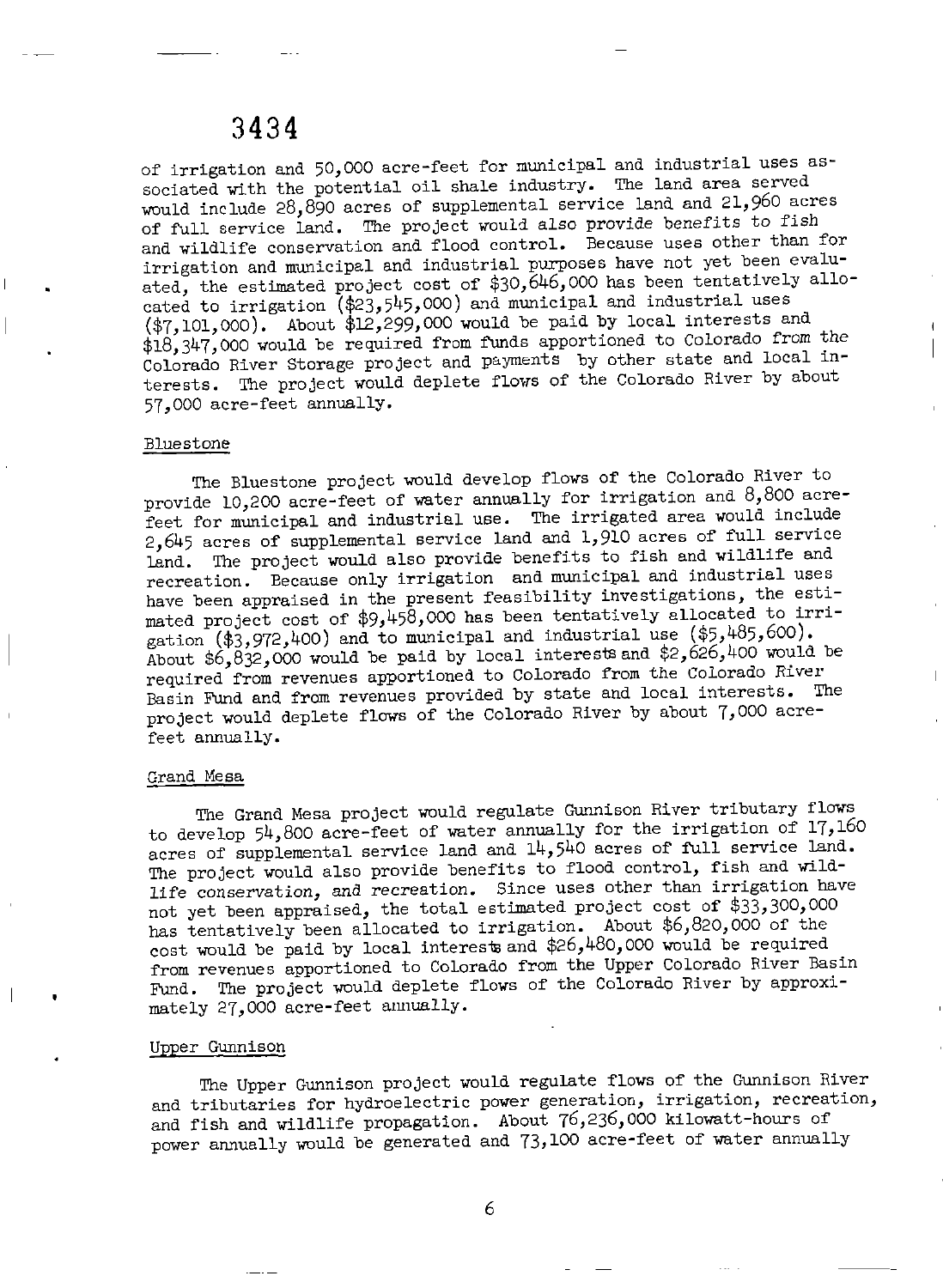of irrigation and 50, <sup>000</sup> acre- feet for municipal and industrial uses associated with the potential oil shale industry. The land area served would include 28, 890 acres of supplemental service land and 21, 960 acres of full service land. The project would also provide benefits to fish and wildlife conservation and flood control. Because uses other than for irrigation and municipal and industrial purposes have not yet been evaluated, the estimated project cost of \$30, 646, <sup>000</sup> has been tentatively allocated to irrigation (\$23, 545, 000) and municipal and industrial uses  $(*7, 101, 000)$ . About  $*12, 299, 000$  would be paid by local interests and 18, 347, <sup>000</sup> would be required from funds apportioned to Colorado from the Colorado River Storage project and payments by other state and local interests. The project would deplete flows of the Colorado River by about 57, <sup>000</sup> acre- feet annually.

#### Bluestone

The Bluestone project would develop flows of the Colorado River to provide 10,200 acre-feet of water annually for irrigation and 8,800 acrefeet for municipal and industrial use. The irrigated area would include 2, <sup>645</sup> acres of supplemental service land and 1, <sup>910</sup> acres of full service land. The project would also provide benefits to fish and wildlife and recreation. Because only irrigation and municipal and industrial uses have been appraised in the present feasibility investigations, the estimated project cost of \$9, 458, <sup>000</sup> has been tentatively allocated to irrigation  $(*3,972,400)$  and to municipal and industrial use  $(*5,485,600)$ . About  $$6, 832, 000$  would be paid by local interests and  $$2, 626, 400$  would be required from revenues apportioned to Colorado from the Colorado River Basin Fund and from revenues provided by state and local interests. The project would deplete flows of the Colorado River by about 7, <sup>000</sup> acrefeet annually.

#### Grand Mesa

The Grand Mesa project would regulate Gunnison River tributary flows to develop 54, <sup>800</sup> acre- feet of water annually for the irrigation of 17, <sup>160</sup> acres of supplemental service land and  $14, 540$  acres of full service land. The project would also provide benefits to flood control, fish and wildlife conservation, and recreation. Since uses other than irrigation have not yet been appraised, the total estimated project cost of  $$33,300,000$ has tentatively been allocated to irrigation. About \$6,820,000 of the cost would be paid by local interests and  $$26,480,000$  would be required from revenues apportioned to Colorado from the Upper Colorado River Basin Fund. The project would deplete flows of the Colorado River by approximately 27, <sup>000</sup> acre- feet annually.

#### Upper Gunnison

The Upper Gunnison project would regulate flows of the Gunnison River and tributaries for hydroelectric power generation, irrigation, recreation, and fish and wildlife propagation. About 76,236,000 kilowatt-hours of power annually would be generated and 73, <sup>100</sup> acre- feet of water annually

6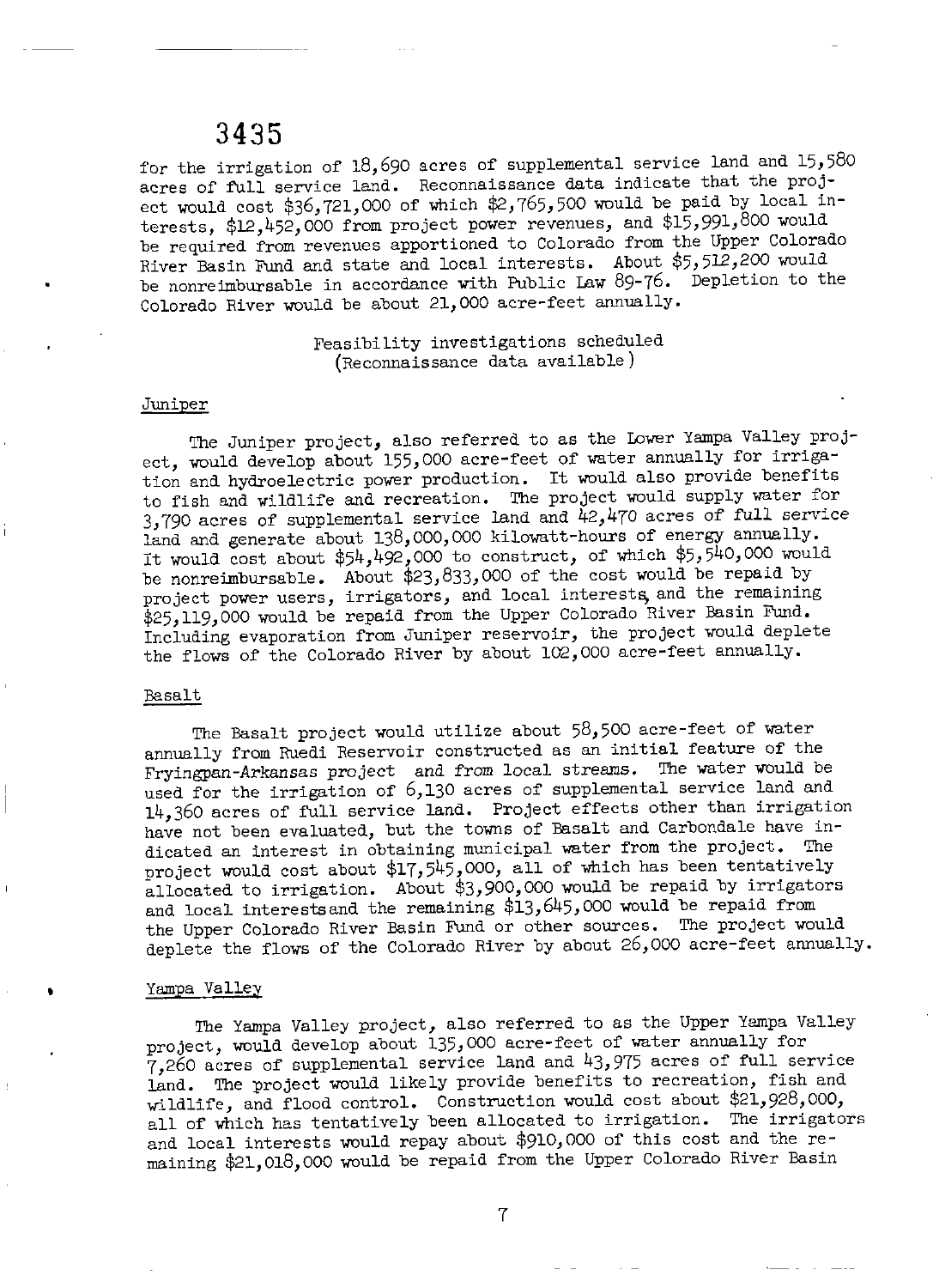for the irrigation of 18, <sup>690</sup> acres of supplemental service land and 15, <sup>580</sup> acres of full service land. Reconnaissance data indicate that the project would cost  $$36,721,000$  of which  $$2,765,500$  would be paid by local interests, \$12,452,000 from project power revenues, and \$15,991,800 would be required from revenues apportioned to Colorado from the Upper Colorado River Basin Fund and state and local interests. About \$5,512,200 would be nonreimbursable in accordance with Public Law 89-76. Depletion to the Colorado River would be about 21, <sup>000</sup> acre- feet annually.

#### Feasibility investigations scheduled Reconnaissance data available)

#### **Juniper**

The Juniper project, also referred to as the Lower Yampa Valley project, would develop about 155,000 acre-feet of water annually for irrigation and hydroelectric power production. It would also provide benefits to fish and vildlife and recreation. The project would supply water for 3,790 acres of supplemental service land and  $42,470$  acres of full service land and generate about 138,000,000 kilowatt-hours of energy annually. It would cost about  $$54,492,000$  to construct, of which  $$5,540,000$  would be nonreimbursable. About \$23,833,000 of the cost would be repaid by project power users, irrigators, and local interests, and the remaining \$25, 119,000 would be repaid from the Upper Colorado River Basin Fund. Including evaporation from Juniper reservoir, the project vould deplete the flows of the Colorado River by about 102, <sup>000</sup> acre- feet annually.

#### Basalt

The Basalt project would utilize about 58, <sup>500</sup> acre- feet of water annually from Ruedi Reservoir constructed as an initial feature of the Fryingpan- Arkansas project and from local streams. The water would be used for the irrigation of 6,130 acres of supplemental service land and 14, <sup>360</sup> acres of full service land. Project effects other than irrigation have not been evaluated, but the towns of Basalt and Carbondale have indicated an interest in obtaining municipal water from the project. The project would cost about  $$17,545,000$ , all of which has been tentatively allocated to irrigation. About  $$3,900,000$  would be repaid by irrigators and local interests and the remaining  $$13,645,000$  would be repaid from the Upper Colorado River Basin Fund or other sources. The project vould deplete the flows of the Colorado River by about 26,000 acre-feet annually.

#### Yampa Valley

The Yampa Valley project, also referred to as the Upper Yampa Valley project, would develop about 135, <sup>000</sup> acre- feet of water annually for 7, <sup>260</sup> acres of supplemental service land and 43, <sup>975</sup> acres of full service land. The project would likely provide benefits to recreation, fish and wildlife, and flood control. Construction would cost about  $$21,928,000,$ all of vhich has tentatively been allocated to irrigation. The irrigators and local interests would repay about \$910,000 of this cost and the remaining \$21,018,000 would be repaid from the Upper Colorado River Basin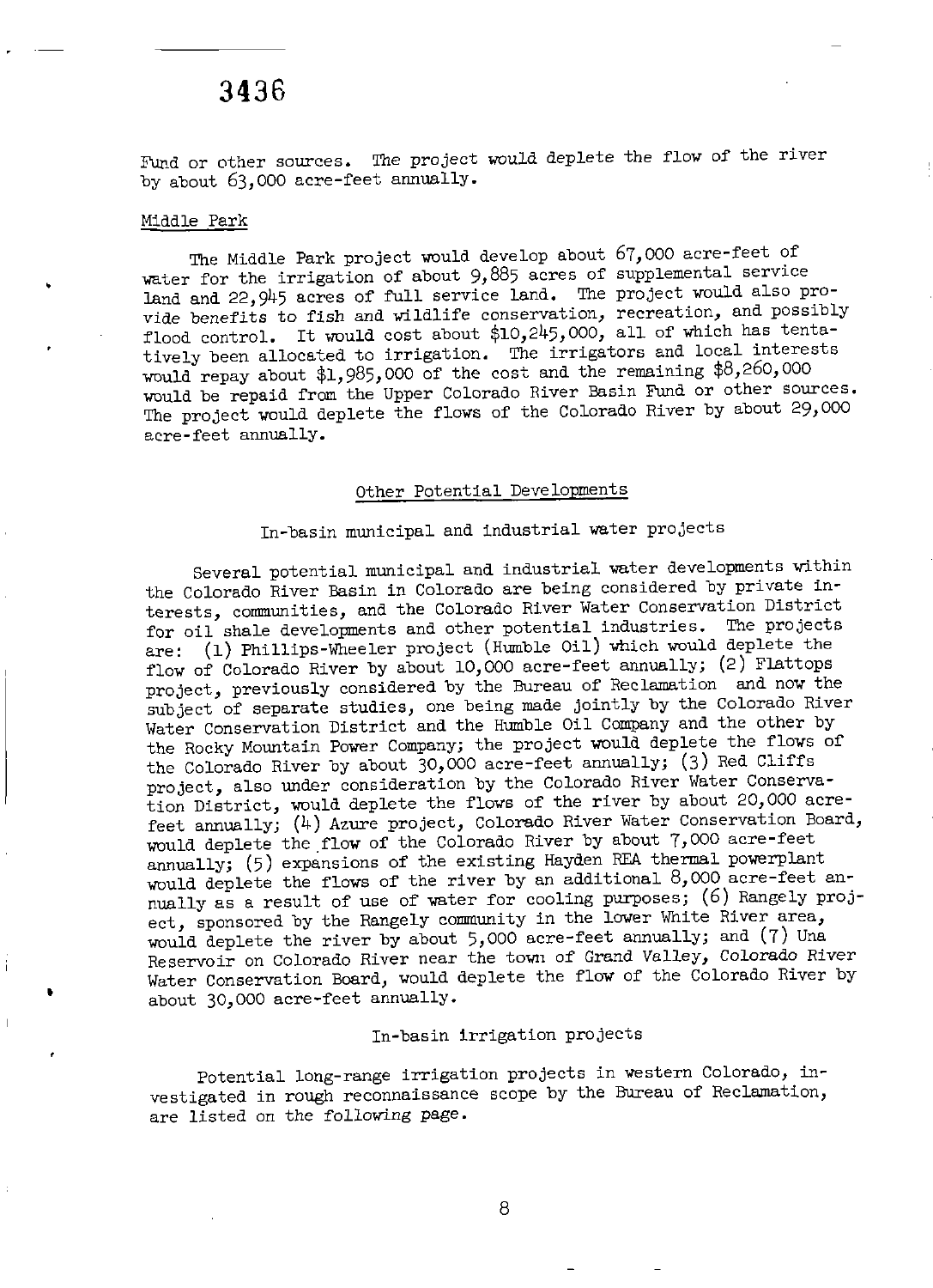Fund or other sources. The project would deplete the flow of the river by about 63,000 acre-feet annually.

#### Middle Park

The Middle Park project would develop about 67, <sup>000</sup> acre- feet of water for the irrigation of about 9, <sup>885</sup> acres of supplemental service land and 22, <sup>945</sup> acres of full service land. The project would also provide benefits to fish and wildlife conservation, recreation, and possibly flood control. It would cost about  $$10,245,000$ , all of which has tentatively been allocated to irrigation. The irrigators and local interests would repay about  $$1,985,000$  of the cost and the remaining  $$8,260,000$ would be repaid from the Upper Colorado River Basin Fund or other sources. The project would deplete the flows of the Colorado River by about 29, <sup>000</sup> acre- feet annually.

#### Other Potential Developments

### In-basin municipal and industrial water projects

Several potential municipal and industrial water developments within the Colorado River Basin in Colorado are being considered by private interests, communities, and the Colorado River Water Conservation District for oil shale developments and other potential industries. The projects are: (1) Phillips-Wheeler project (Humble Oil) which would deplete the flow of Colorado River by about 10,000 acre-feet annually;  $(2)$  Flattops project, previously considered by the Bureau of Reclamation and now the subject of separate studies, one being made jointly by the Colorado River Water Conservation District and the Humble Oil Company and the other by the Rocky Mountain Power Company; the project would deplete the flows of the Colorado River by about 30,000 acre-feet annually; (3) Red Cliffs project, also under consideration by the Colorado River Water Conservation District, would deplete the flows of the river by about 20, <sup>000</sup> acrefeet annually; (4) Azure project, Colorado River Water Conservation Board, would deplete the flow of the Colorado River by about 7,000 acre-feet annually; (5) expansions of the existing Hayden REA thermal powerplant would deplete the flows of the river by an additional  $8,000$  acre-feet annually as a result of use of water for cooling purposes; (6) Rangely project, sponsored by the Rangely community in the lower White River area, would deplete the river by about 5,000 acre-feet annually; and (7) Una Reservoir on Colorado River near the town of Grand Valley, Colorado River Water Conservation Board, would deplete the flow of the Colorado River by about 30,000 acre-feet annually.

#### In-basin irrigation projects

Potential long-range irrigation projects in western Colorado, investigated in rough reconnaissance scope by the Bureau of Reclamation, are listed on the following page.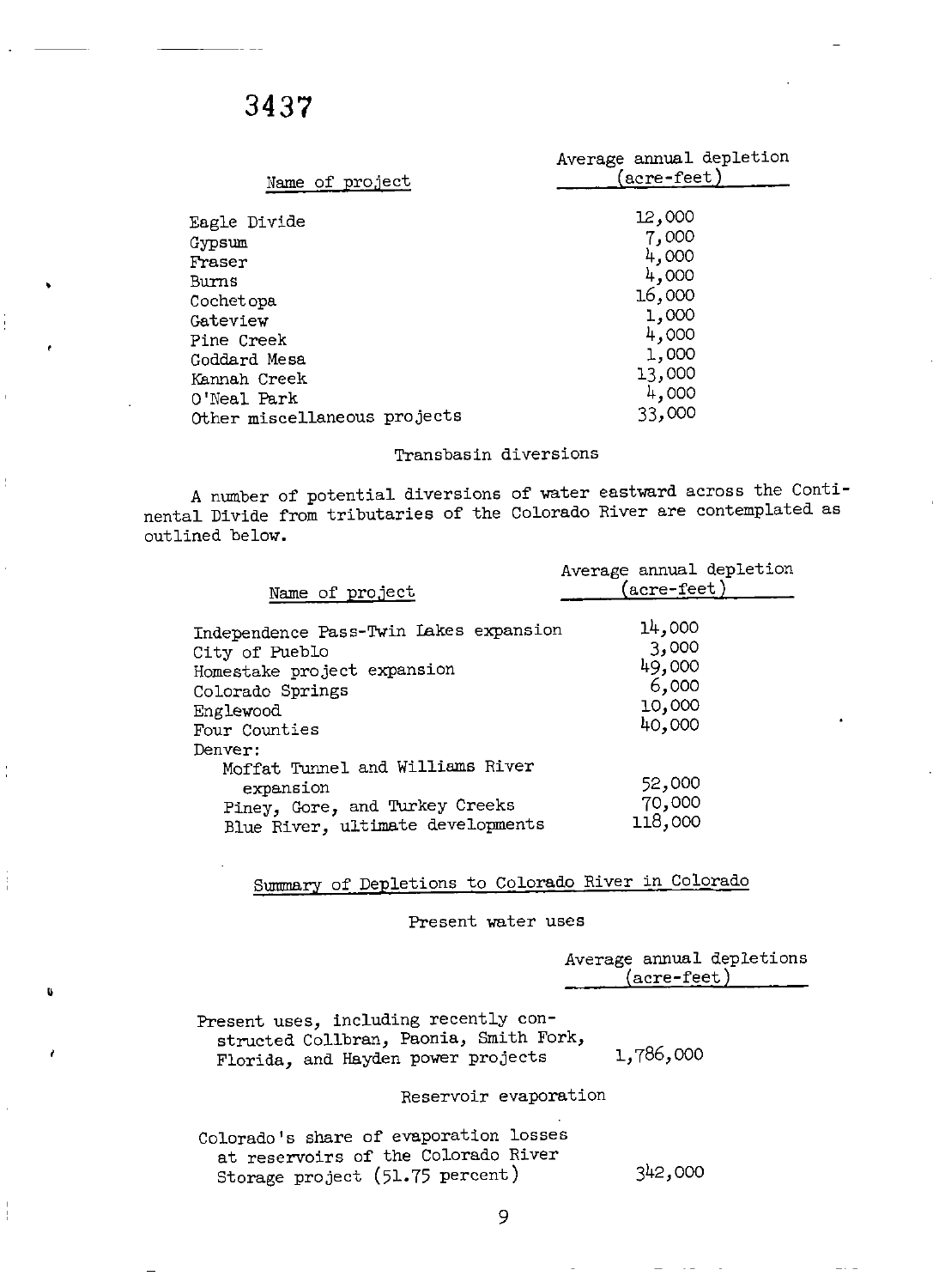j

Ť

| Name of project              | Average annual depletion<br>(acre-feet) |
|------------------------------|-----------------------------------------|
| Eagle Divide                 | 12,000                                  |
| Gypsum                       | 7,000                                   |
| Fraser                       | 4,000                                   |
| Burns                        | 4,000                                   |
| Cochetopa                    | 16,000                                  |
| Gateview                     | 1,000                                   |
| Pine Creek                   | 4,000                                   |
| Goddard Mesa                 | 1,000                                   |
| Kannah Creek                 | 13,000                                  |
| O'Neal Park                  | 4,000                                   |
| Other miscellaneous projects | 33,000                                  |

#### Transbasin diversions

A number of potential diversions of water eastward across the Continental Divide from tributaries of the Colorado River are contemplated as outlined below.

|                                                                                                                                           | Average annual depletion                               |
|-------------------------------------------------------------------------------------------------------------------------------------------|--------------------------------------------------------|
| Name of project                                                                                                                           | $(\text{acre-feet})$                                   |
| Independence Pass-Twin Lakes expansion<br>City of Pueblo<br>Homestake project expansion<br>Colorado Springs<br>Englewood<br>Four Counties | 14,000<br>3,000<br>49,000<br>6,000<br>10,000<br>40,000 |
| Denver:                                                                                                                                   |                                                        |
| Moffat Tunnel and Williams River<br>expansion<br>Piney, Gore, and Turkey Creeks<br>Blue River, ultimate developments                      | 52,000<br>70,000<br>118,000                            |

## Summary of Depletions to Colorado River in Colorado

Present water uses

|                                                                                                                       | Average annual depletions<br>$(\mathtt{acre}\text{-}\mathtt{feet})$ |
|-----------------------------------------------------------------------------------------------------------------------|---------------------------------------------------------------------|
| Present uses, including recently con-<br>structed Collbran, Paonia, Smith Fork,<br>Florida, and Hayden power projects | 1,786,000                                                           |
| Reservoir evaporation                                                                                                 |                                                                     |
| Colorado's share of evaporation losses<br>at reservoirs of the Colorado River<br>Storage project (51.75 percent)      | 342,000                                                             |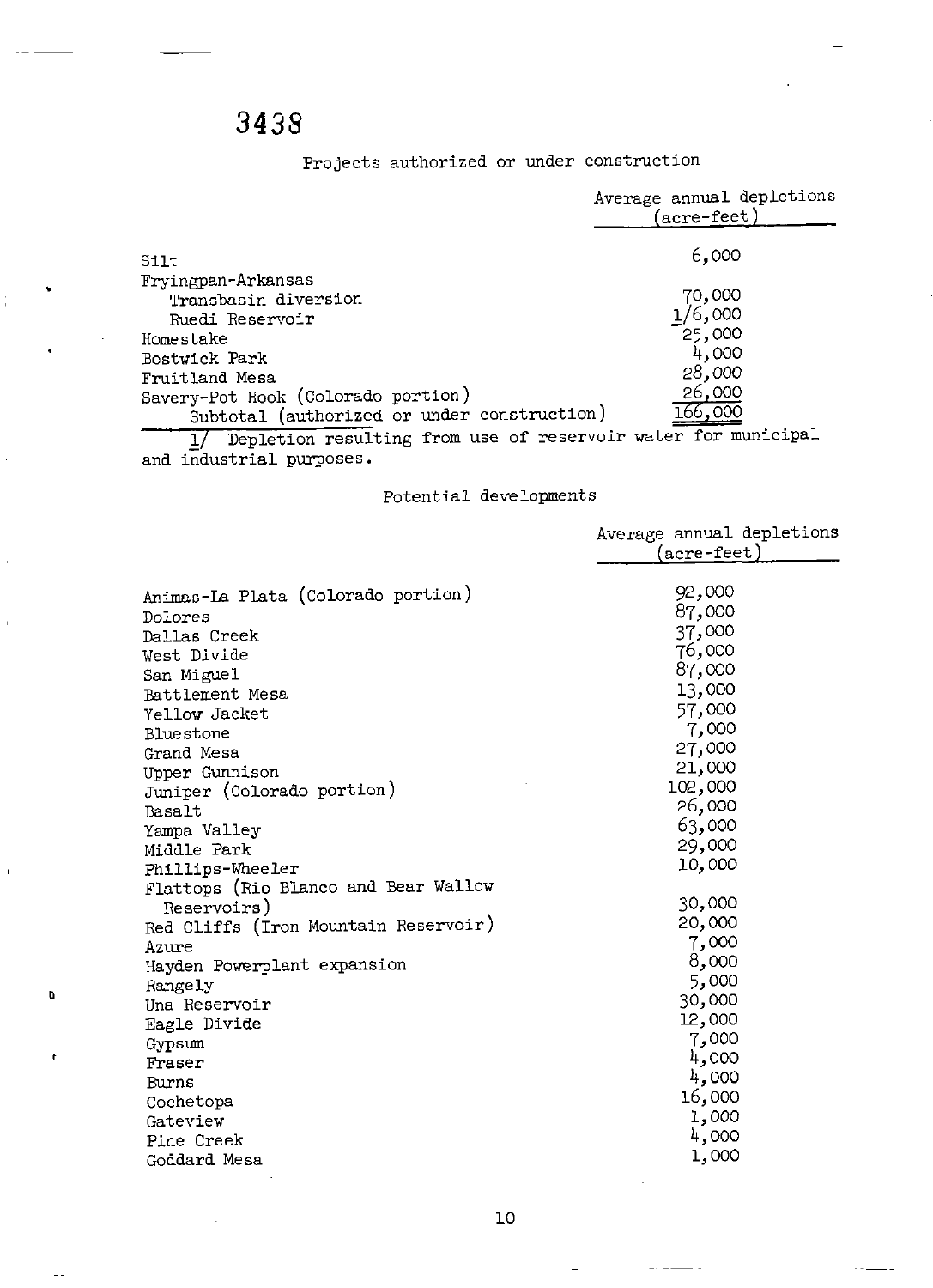$\mathbf{0}$ 

 $\sim$ 

Projects authorized or under construction

|                                                                                   | Average annual depletions<br>$(\text{acre-feet})$ |
|-----------------------------------------------------------------------------------|---------------------------------------------------|
| Silt                                                                              | 6,000                                             |
| Fryingpan-Arkansas<br>Transbasin diversion                                        | 70,000                                            |
| Ruedi Reservoir                                                                   | 1/6,000                                           |
| Homestake                                                                         | 25,000<br>4,000                                   |
| Bostwick Park<br>Fruitland Mesa                                                   | 28,000                                            |
| Savery-Pot Hook (Colorado portion)<br>Subtotal (authorized or under construction) | 26,000<br>66,00C                                  |
| Domlation modulting from use of reservoir vater for municipal                     |                                                   |

1/ Depletion resulting from use of reservoir water for municipal and industrial purposes.

### Potential developments

|                                      | Average annual depletions |
|--------------------------------------|---------------------------|
|                                      | (acre-feet)               |
| Animas-La Plata (Colorado portion)   | 92,000                    |
|                                      | 87,000                    |
| Dolores                              | 37,000                    |
| Dallas Creek                         | 76,000                    |
| West Divide                          | 87,000                    |
| San Miguel<br><b>Battlement Mesa</b> | 13,000                    |
| Yellow Jacket                        | 57,000                    |
| Bluestone                            | 7,000                     |
| Grand Mesa                           | 27,000                    |
| Upper Gunnison                       | 21,000                    |
| Juniper (Colorado portion)           | 102,000                   |
| <b>Basalt</b>                        | 26,000                    |
| Yampa Valley                         | 63,000                    |
| Middle Park                          | 29,000                    |
| Phillips-Wheeler                     | 10,000                    |
| Flattops (Rio Blanco and Bear Wallow |                           |
| Reservoirs)                          | 30,000                    |
| Red Cliffs (Iron Mountain Reservoir) | 20,000                    |
| Azure                                | 7,000                     |
| Hayden Powerplant expansion          | 8,000                     |
| Rangely                              | 5,000                     |
| Una Reservoir                        | 30,000                    |
| Eagle Divide                         | 12,000                    |
| Gypsum                               | 7,000                     |
| Fraser                               | 4,000                     |
| Burns                                | 4,000                     |
| Cochetopa                            | 16,000                    |
| Gateview                             | 1,000                     |
| Pine Creek                           | 4,000                     |
| Goddard Mesa                         | 1,000                     |
|                                      |                           |